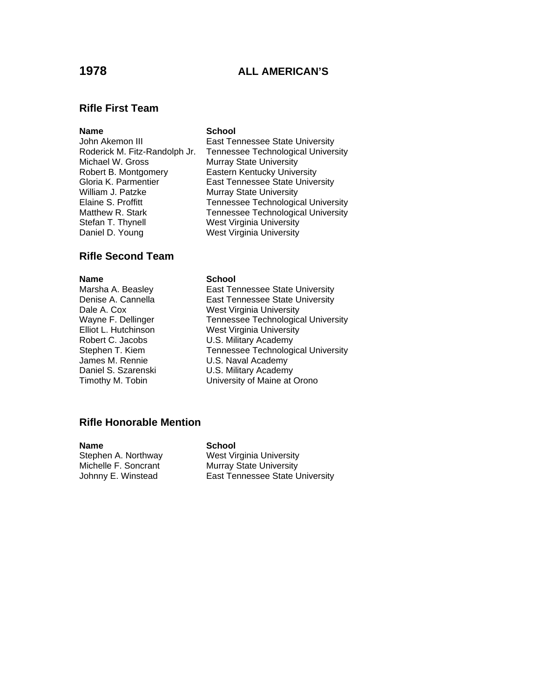# **1978 ALL AMERICAN'S**

### **Rifle First Team**

### **Name** School

John Akemon III **East Tennessee State University** Michael W. Gross Murray State University Robert B. Montgomery Eastern Kentucky University William J. Patzke Murray State University Stefan T. Thynell West Virginia University Daniel D. Young West Virginia University

## **Rifle Second Team**

James M. Rennie U.S. Naval Academy

Roderick M. Fitz-Randolph Jr. Tennessee Technological University Gloria K. Parmentier East Tennessee State University Elaine S. Proffitt Tennessee Technological University Matthew R. Stark Tennessee Technological University

**Name School** 

Marsha A. Beasley **East Tennessee State University** Denise A. Cannella **East Tennessee State University** Dale A. Cox West Virginia University Wayne F. Dellinger Tennessee Technological University<br>
Elliot L. Hutchinson Vest Virginia University West Virginia University Robert C. Jacobs U.S. Military Academy Stephen T. Kiem Tennessee Technological University Daniel S. Szarenski **U.S. Military Academy** Timothy M. Tobin University of Maine at Orono

### **Rifle Honorable Mention**

**Name School**<br> **Stephen A. Northway West Virth** 

Stephen A. Northway **West Virginia University**<br>
Michelle F. Soncrant Murray State University Murray State University Johnny E. Winstead East Tennessee State University